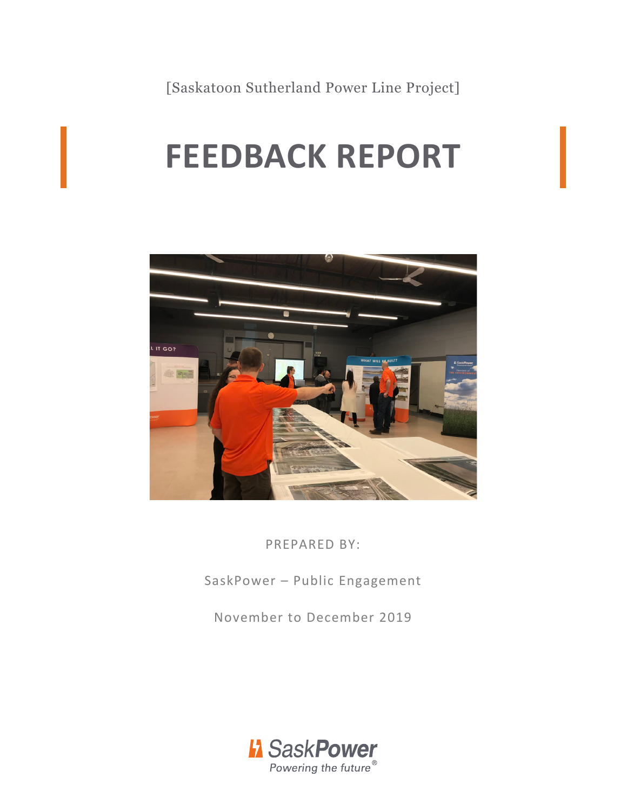[Saskatoon Sutherland Power Line Project]

# **FEEDBACK REPORT**



PREPARED BY:

SaskPower – Public Engagement

November to December 2019

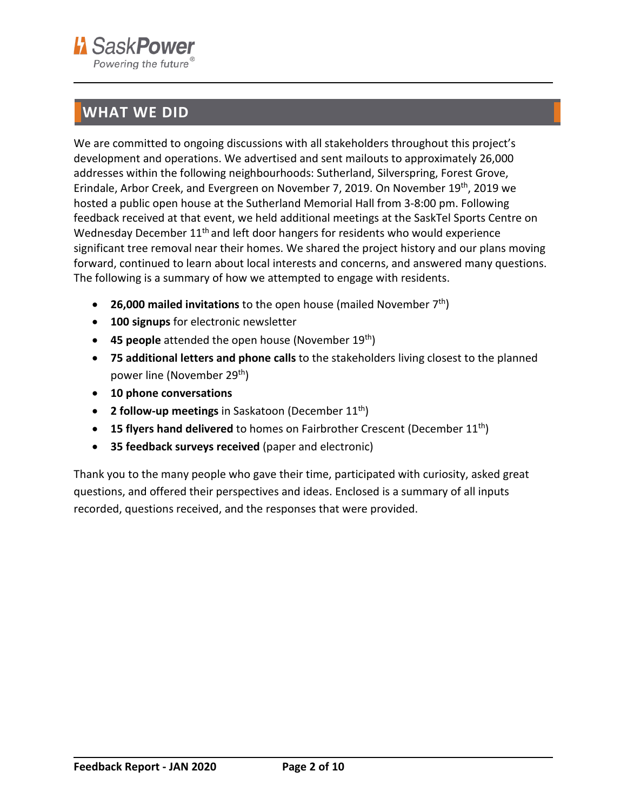

## <span id="page-1-0"></span>**WHAT WE DID**

We are committed to ongoing discussions with all stakeholders throughout this project's development and operations. We advertised and sent mailouts to approximately 26,000 addresses within the following neighbourhoods: Sutherland, Silverspring, Forest Grove, Erindale, Arbor Creek, and Evergreen on November 7, 2019. On November 19th, 2019 we hosted a public open house at the Sutherland Memorial Hall from 3-8:00 pm. Following feedback received at that event, we held additional meetings at the SaskTel Sports Centre on Wednesday December  $11<sup>th</sup>$  and left door hangers for residents who would experience significant tree removal near their homes. We shared the project history and our plans moving forward, continued to learn about local interests and concerns, and answered many questions. The following is a summary of how we attempted to engage with residents.

- **26,000 mailed invitations** to the open house (mailed November 7<sup>th</sup>)
- **100 signups** for electronic newsletter
- **45 people** attended the open house (November 19th)
- **75 additional letters and phone calls** to the stakeholders living closest to the planned power line (November 29th)
- **10 phone conversations**
- **2 follow-up meetings** in Saskatoon (December 11th)
- **15 flyers hand delivered** to homes on Fairbrother Crescent (December 11<sup>th</sup>)
- **35 feedback surveys received** (paper and electronic)

Thank you to the many people who gave their time, participated with curiosity, asked great questions, and offered their perspectives and ideas. Enclosed is a summary of all inputs recorded, questions received, and the responses that were provided.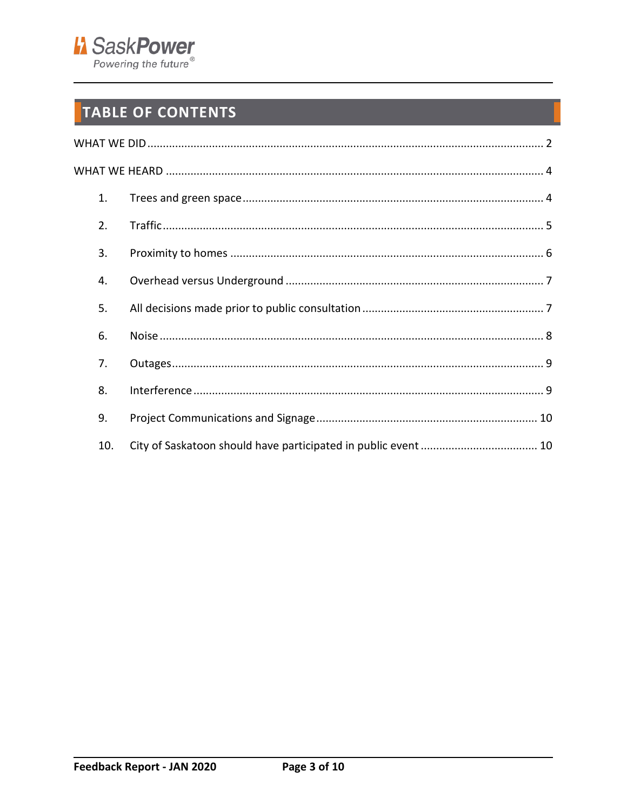

## TABLE OF CONTENTS

| 1.  |  |
|-----|--|
| 2.  |  |
| 3.  |  |
| 4.  |  |
| 5.  |  |
| 6.  |  |
| 7.  |  |
| 8.  |  |
| 9.  |  |
| 10. |  |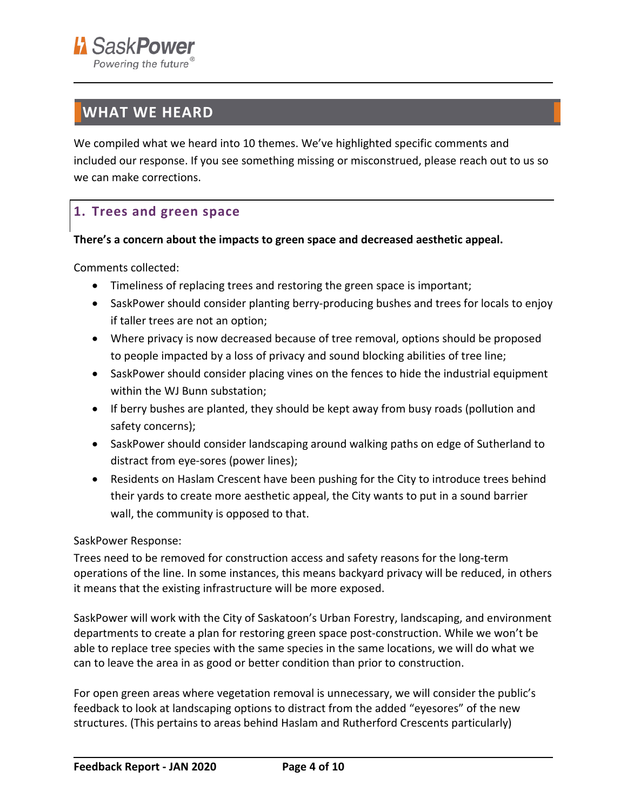## <span id="page-3-0"></span>**WHAT WE HEARD**

We compiled what we heard into 10 themes. We've highlighted specific comments and included our response. If you see something missing or misconstrued, please reach out to us so we can make corrections.

## <span id="page-3-1"></span>**1. Trees and green space**

#### **There's a concern about the impacts to green space and decreased aesthetic appeal.**

Comments collected:

- Timeliness of replacing trees and restoring the green space is important;
- SaskPower should consider planting berry-producing bushes and trees for locals to enjoy if taller trees are not an option;
- Where privacy is now decreased because of tree removal, options should be proposed to people impacted by a loss of privacy and sound blocking abilities of tree line;
- SaskPower should consider placing vines on the fences to hide the industrial equipment within the WJ Bunn substation;
- If berry bushes are planted, they should be kept away from busy roads (pollution and safety concerns);
- SaskPower should consider landscaping around walking paths on edge of Sutherland to distract from eye-sores (power lines);
- Residents on Haslam Crescent have been pushing for the City to introduce trees behind their yards to create more aesthetic appeal, the City wants to put in a sound barrier wall, the community is opposed to that.

#### SaskPower Response:

Trees need to be removed for construction access and safety reasons for the long-term operations of the line. In some instances, this means backyard privacy will be reduced, in others it means that the existing infrastructure will be more exposed.

SaskPower will work with the City of Saskatoon's Urban Forestry, landscaping, and environment departments to create a plan for restoring green space post-construction. While we won't be able to replace tree species with the same species in the same locations, we will do what we can to leave the area in as good or better condition than prior to construction.

For open green areas where vegetation removal is unnecessary, we will consider the public's feedback to look at landscaping options to distract from the added "eyesores" of the new structures. (This pertains to areas behind Haslam and Rutherford Crescents particularly)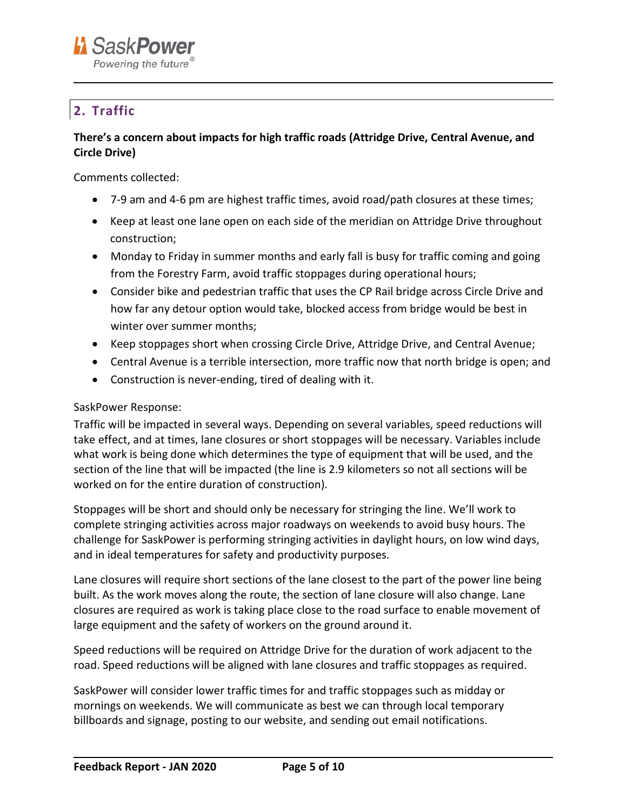

## <span id="page-4-0"></span>**2. Traffic**

#### **There's a concern about impacts for high traffic roads (Attridge Drive, Central Avenue, and Circle Drive)**

Comments collected:

- 7-9 am and 4-6 pm are highest traffic times, avoid road/path closures at these times;
- Keep at least one lane open on each side of the meridian on Attridge Drive throughout construction;
- Monday to Friday in summer months and early fall is busy for traffic coming and going from the Forestry Farm, avoid traffic stoppages during operational hours;
- Consider bike and pedestrian traffic that uses the CP Rail bridge across Circle Drive and how far any detour option would take, blocked access from bridge would be best in winter over summer months;
- Keep stoppages short when crossing Circle Drive, Attridge Drive, and Central Avenue;
- Central Avenue is a terrible intersection, more traffic now that north bridge is open; and
- Construction is never-ending, tired of dealing with it.

#### SaskPower Response:

Traffic will be impacted in several ways. Depending on several variables, speed reductions will take effect, and at times, lane closures or short stoppages will be necessary. Variables include what work is being done which determines the type of equipment that will be used, and the section of the line that will be impacted (the line is 2.9 kilometers so not all sections will be worked on for the entire duration of construction).

Stoppages will be short and should only be necessary for stringing the line. We'll work to complete stringing activities across major roadways on weekends to avoid busy hours. The challenge for SaskPower is performing stringing activities in daylight hours, on low wind days, and in ideal temperatures for safety and productivity purposes.

Lane closures will require short sections of the lane closest to the part of the power line being built. As the work moves along the route, the section of lane closure will also change. Lane closures are required as work is taking place close to the road surface to enable movement of large equipment and the safety of workers on the ground around it.

Speed reductions will be required on Attridge Drive for the duration of work adjacent to the road. Speed reductions will be aligned with lane closures and traffic stoppages as required.

SaskPower will consider lower traffic times for and traffic stoppages such as midday or mornings on weekends. We will communicate as best we can through local temporary billboards and signage, posting to our website, and sending out email notifications.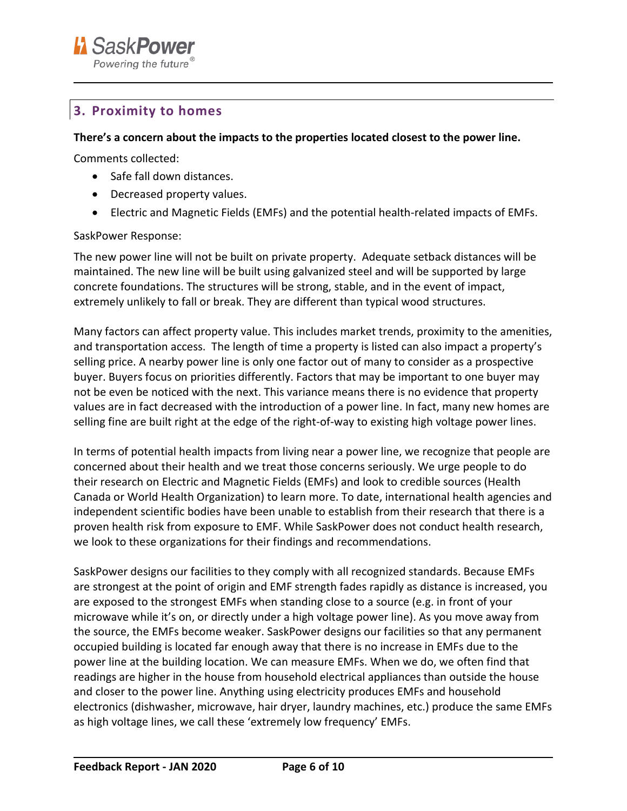

## <span id="page-5-0"></span>**3. Proximity to homes**

#### **There's a concern about the impacts to the properties located closest to the power line.**

Comments collected:

- Safe fall down distances.
- Decreased property values.
- Electric and Magnetic Fields (EMFs) and the potential health-related impacts of EMFs.

#### SaskPower Response:

The new power line will not be built on private property. Adequate setback distances will be maintained. The new line will be built using galvanized steel and will be supported by large concrete foundations. The structures will be strong, stable, and in the event of impact, extremely unlikely to fall or break. They are different than typical wood structures.

Many factors can affect property value. This includes market trends, proximity to the amenities, and transportation access. The length of time a property is listed can also impact a property's selling price. A nearby power line is only one factor out of many to consider as a prospective buyer. Buyers focus on priorities differently. Factors that may be important to one buyer may not be even be noticed with the next. This variance means there is no evidence that property values are in fact decreased with the introduction of a power line. In fact, many new homes are selling fine are built right at the edge of the right-of-way to existing high voltage power lines.

In terms of potential health impacts from living near a power line, we recognize that people are concerned about their health and we treat those concerns seriously. We urge people to do their research on Electric and Magnetic Fields (EMFs) and look to credible sources (Health Canada or World Health Organization) to learn more. To date, international health agencies and independent scientific bodies have been unable to establish from their research that there is a proven health risk from exposure to EMF. While SaskPower does not conduct health research, we look to these organizations for their findings and recommendations.

SaskPower designs our facilities to they comply with all recognized standards. Because EMFs are strongest at the point of origin and EMF strength fades rapidly as distance is increased, you are exposed to the strongest EMFs when standing close to a source (e.g. in front of your microwave while it's on, or directly under a high voltage power line). As you move away from the source, the EMFs become weaker. SaskPower designs our facilities so that any permanent occupied building is located far enough away that there is no increase in EMFs due to the power line at the building location. We can measure EMFs. When we do, we often find that readings are higher in the house from household electrical appliances than outside the house and closer to the power line. Anything using electricity produces EMFs and household electronics (dishwasher, microwave, hair dryer, laundry machines, etc.) produce the same EMFs as high voltage lines, we call these 'extremely low frequency' EMFs.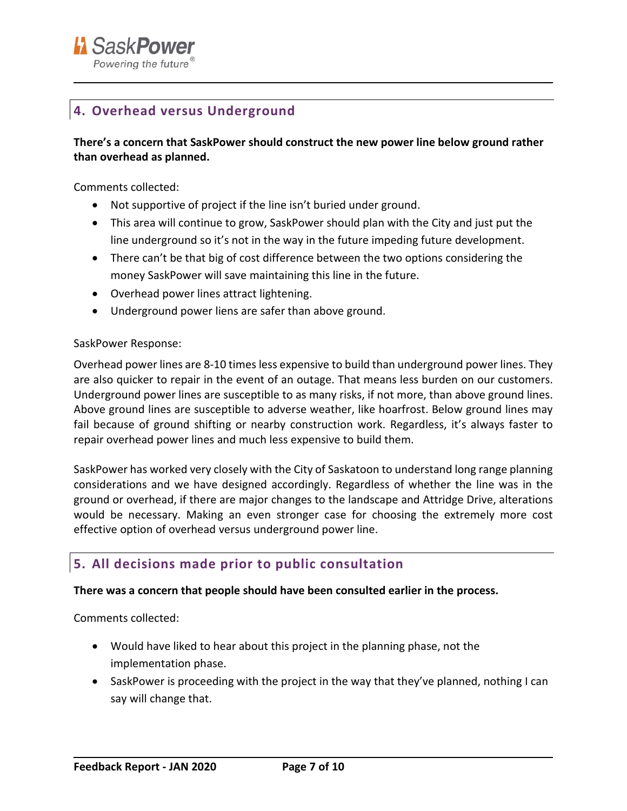

## <span id="page-6-0"></span>**4. Overhead versus Underground**

#### **There's a concern that SaskPower should construct the new power line below ground rather than overhead as planned.**

Comments collected:

- Not supportive of project if the line isn't buried under ground.
- This area will continue to grow, SaskPower should plan with the City and just put the line underground so it's not in the way in the future impeding future development.
- There can't be that big of cost difference between the two options considering the money SaskPower will save maintaining this line in the future.
- Overhead power lines attract lightening.
- Underground power liens are safer than above ground.

#### SaskPower Response:

Overhead power lines are 8-10 times less expensive to build than underground power lines. They are also quicker to repair in the event of an outage. That means less burden on our customers. Underground power lines are susceptible to as many risks, if not more, than above ground lines. Above ground lines are susceptible to adverse weather, like hoarfrost. Below ground lines may fail because of ground shifting or nearby construction work. Regardless, it's always faster to repair overhead power lines and much less expensive to build them.

SaskPower has worked very closely with the City of Saskatoon to understand long range planning considerations and we have designed accordingly. Regardless of whether the line was in the ground or overhead, if there are major changes to the landscape and Attridge Drive, alterations would be necessary. Making an even stronger case for choosing the extremely more cost effective option of overhead versus underground power line.

## <span id="page-6-1"></span>**5. All decisions made prior to public consultation**

#### **There was a concern that people should have been consulted earlier in the process.**

Comments collected:

- Would have liked to hear about this project in the planning phase, not the implementation phase.
- SaskPower is proceeding with the project in the way that they've planned, nothing I can say will change that.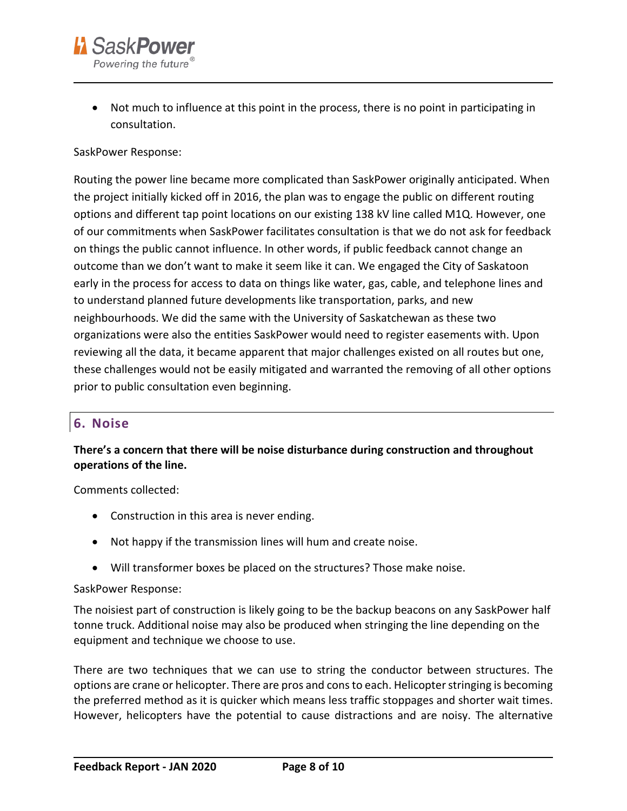

• Not much to influence at this point in the process, there is no point in participating in consultation.

#### SaskPower Response:

Routing the power line became more complicated than SaskPower originally anticipated. When the project initially kicked off in 2016, the plan was to engage the public on different routing options and different tap point locations on our existing 138 kV line called M1Q. However, one of our commitments when SaskPower facilitates consultation is that we do not ask for feedback on things the public cannot influence. In other words, if public feedback cannot change an outcome than we don't want to make it seem like it can. We engaged the City of Saskatoon early in the process for access to data on things like water, gas, cable, and telephone lines and to understand planned future developments like transportation, parks, and new neighbourhoods. We did the same with the University of Saskatchewan as these two organizations were also the entities SaskPower would need to register easements with. Upon reviewing all the data, it became apparent that major challenges existed on all routes but one, these challenges would not be easily mitigated and warranted the removing of all other options prior to public consultation even beginning.

### <span id="page-7-0"></span>**6. Noise**

#### **There's a concern that there will be noise disturbance during construction and throughout operations of the line.**

Comments collected:

- Construction in this area is never ending.
- Not happy if the transmission lines will hum and create noise.
- Will transformer boxes be placed on the structures? Those make noise.

#### SaskPower Response:

The noisiest part of construction is likely going to be the backup beacons on any SaskPower half tonne truck. Additional noise may also be produced when stringing the line depending on the equipment and technique we choose to use.

There are two techniques that we can use to string the conductor between structures. The options are crane or helicopter. There are pros and cons to each. Helicopter stringing is becoming the preferred method as it is quicker which means less traffic stoppages and shorter wait times. However, helicopters have the potential to cause distractions and are noisy. The alternative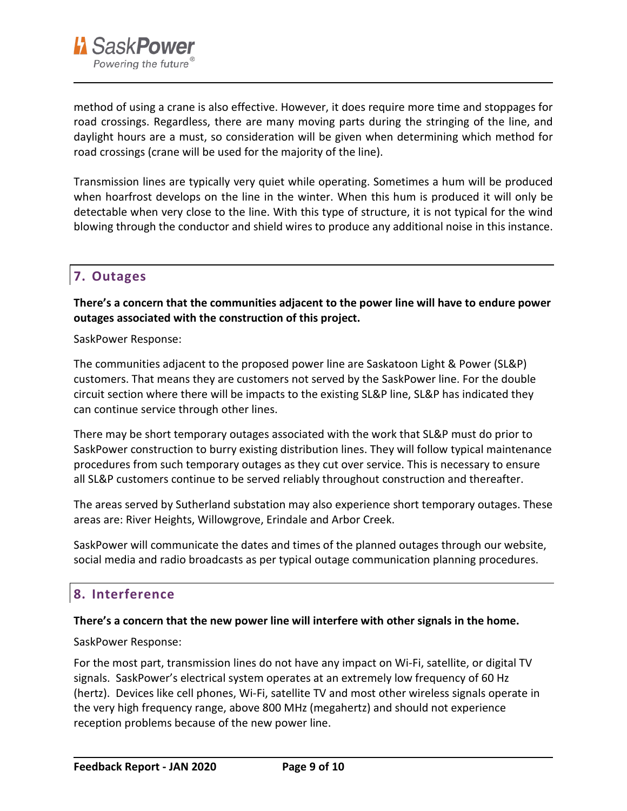

method of using a crane is also effective. However, it does require more time and stoppages for road crossings. Regardless, there are many moving parts during the stringing of the line, and daylight hours are a must, so consideration will be given when determining which method for road crossings (crane will be used for the majority of the line).

Transmission lines are typically very quiet while operating. Sometimes a hum will be produced when hoarfrost develops on the line in the winter. When this hum is produced it will only be detectable when very close to the line. With this type of structure, it is not typical for the wind blowing through the conductor and shield wires to produce any additional noise in this instance.

## <span id="page-8-0"></span>**7. Outages**

**There's a concern that the communities adjacent to the power line will have to endure power outages associated with the construction of this project.** 

SaskPower Response:

The communities adjacent to the proposed power line are Saskatoon Light & Power (SL&P) customers. That means they are customers not served by the SaskPower line. For the double circuit section where there will be impacts to the existing SL&P line, SL&P has indicated they can continue service through other lines.

There may be short temporary outages associated with the work that SL&P must do prior to SaskPower construction to burry existing distribution lines. They will follow typical maintenance procedures from such temporary outages as they cut over service. This is necessary to ensure all SL&P customers continue to be served reliably throughout construction and thereafter.

The areas served by Sutherland substation may also experience short temporary outages. These areas are: River Heights, Willowgrove, Erindale and Arbor Creek.

SaskPower will communicate the dates and times of the planned outages through our website, social media and radio broadcasts as per typical outage communication planning procedures.

## <span id="page-8-1"></span>**8. Interference**

#### **There's a concern that the new power line will interfere with other signals in the home.**

SaskPower Response:

For the most part, transmission lines do not have any impact on Wi-Fi, satellite, or digital TV signals. SaskPower's electrical system operates at an extremely low frequency of 60 Hz (hertz). Devices like cell phones, Wi-Fi, satellite TV and most other wireless signals operate in the very high frequency range, above 800 MHz (megahertz) and should not experience reception problems because of the new power line.